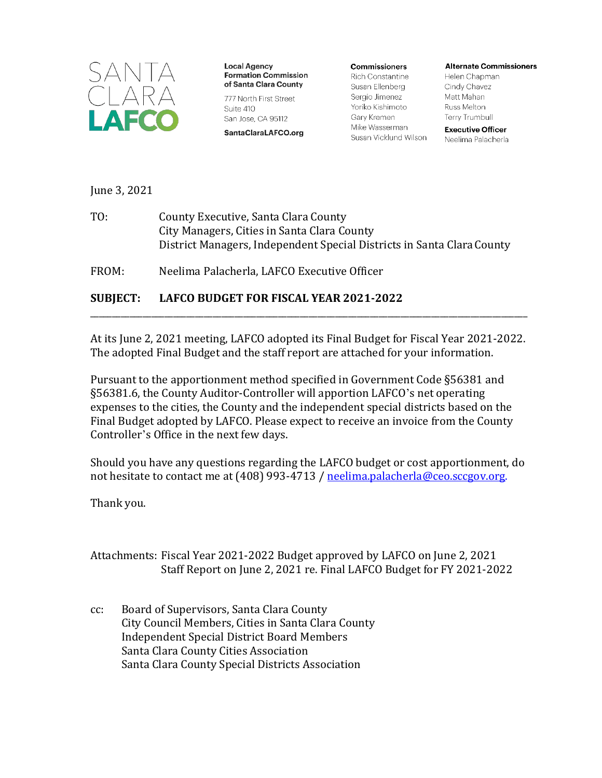

**Local Agency Formation Commission** of Santa Clara County

777 North First Street Suite 410 San Jose, CA 95112

SantaClaraLAFCO.org

**Commissioners** Rich Constantine Susan Ellenberg Sergio Jimenez Yoriko Kishimoto Gary Kremen Mike Wasserman Susan Vicklund Wilson **Alternate Commissioners** 

Helen Chapman Cindy Chavez Matt Mahan Russ Melton **Terry Trumbull** 

**Executive Officer** Neelima Palacherla

June 3, 2021

TO: County Executive, Santa Clara County City Managers, Cities in Santa Clara County District Managers, Independent Special Districts in Santa ClaraCounty

FROM: Neelima Palacherla, LAFCO Executive Officer

#### **SUBJECT: LAFCO BUDGET FOR FISCAL YEAR 2021-2022**

At its June 2, 2021 meeting, LAFCO adopted its Final Budget for Fiscal Year 2021-2022. The adopted Final Budget and the staff report are attached for your information.

\_\_\_\_\_\_\_\_\_\_\_\_\_\_\_\_\_\_\_\_\_\_\_\_\_\_\_\_\_\_\_\_\_\_\_\_\_\_\_\_\_\_\_\_\_\_\_\_\_\_\_\_\_\_\_\_\_\_\_\_\_\_\_\_\_\_\_\_\_\_\_\_\_\_\_\_\_\_\_\_\_\_\_\_\_\_\_\_\_\_\_\_\_\_\_\_\_\_\_\_

Pursuant to the apportionment method specified in Government Code §56381 and §56381.6, the County Auditor-Controller will apportion LAFCO's net operating expenses to the cities, the County and the independent special districts based on the Final Budget adopted by LAFCO. Please expect to receive an invoice from the County Controller's Office in the next few days.

Should you have any questions regarding the LAFCO budget or cost apportionment, do not hesitate to contact me at (408) 993-4713 / [neelima.palacherla@ceo.sccgov.org.](file://SCCSVSHR502/CEOsharelib/Lafco/LAFCO/LAFCO%20BUDGETS/LAFCO%20Budget%202020/PublicNotice/neelima.palacherla@ceo.sccgov.org)

Thank you.

Attachments: Fiscal Year 2021-2022 Budget approved by LAFCO on June 2, 2021 Staff Report on June 2, 2021 re. Final LAFCO Budget for FY 2021-2022

cc: Board of Supervisors, Santa Clara County City Council Members, Cities in Santa Clara County Independent Special District Board Members Santa Clara County Cities Association Santa Clara County Special Districts Association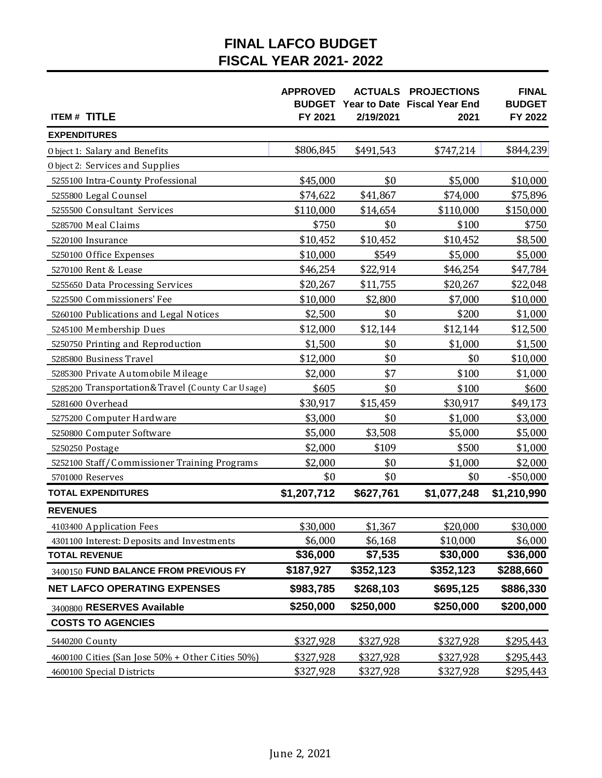# **FINAL LAFCO BUDGET FISCAL YEAR 2021-2022**

|                                                   | <b>APPROVED</b><br><b>BUDGET</b> |           | <b>ACTUALS PROJECTIONS</b><br>Year to Date Fiscal Year End | <b>FINAL</b><br><b>BUDGET</b> |
|---------------------------------------------------|----------------------------------|-----------|------------------------------------------------------------|-------------------------------|
| <b>ITEM # TITLE</b>                               | FY 2021                          | 2/19/2021 | 2021                                                       | FY 2022                       |
| <b>EXPENDITURES</b>                               |                                  |           |                                                            |                               |
| Object 1: Salary and Benefits                     | \$806,845                        | \$491,543 | \$747,214                                                  | \$844,239                     |
| Object 2: Services and Supplies                   |                                  |           |                                                            |                               |
| 5255100 Intra-County Professional                 | \$45,000                         | \$0       | \$5,000                                                    | \$10,000                      |
| 5255800 Legal Counsel                             | \$74,622                         | \$41,867  | \$74,000                                                   | \$75,896                      |
| 5255500 Consultant Services                       | \$110,000                        | \$14,654  | \$110,000                                                  | \$150,000                     |
| 5285700 Meal Claims                               | \$750                            | \$0       | \$100                                                      | \$750                         |
| 5220100 Insurance                                 | \$10,452                         | \$10,452  | \$10,452                                                   | \$8,500                       |
| 5250100 Office Expenses                           | \$10,000                         | \$549     | \$5,000                                                    | \$5,000                       |
| 5270100 Rent & Lease                              | \$46,254                         | \$22,914  | \$46,254                                                   | \$47,784                      |
| 5255650 Data Processing Services                  | \$20,267                         | \$11,755  | \$20,267                                                   | \$22,048                      |
| 5225500 Commissioners' Fee                        | \$10,000                         | \$2,800   | \$7,000                                                    | \$10,000                      |
| 5260100 Publications and Legal Notices            | \$2,500                          | \$0       | \$200                                                      | \$1,000                       |
| 5245100 Membership Dues                           | \$12,000                         | \$12,144  | \$12,144                                                   | \$12,500                      |
| 5250750 Printing and Reproduction                 | \$1,500                          | \$0       | \$1,000                                                    | \$1,500                       |
| 5285800 Business Travel                           | \$12,000                         | \$0       | \$0                                                        | \$10,000                      |
| 5285300 Private Automobile Mileage                | \$2,000                          | \$7       | \$100                                                      | \$1,000                       |
| 5285200 Transportation&Travel (County Car Usage)  | \$605                            | \$0       | \$100                                                      | \$600                         |
| 5281600 O verhead                                 | \$30,917                         | \$15,459  | \$30,917                                                   | \$49,173                      |
| 5275200 Computer Hardware                         | \$3,000                          | \$0       | \$1,000                                                    | \$3,000                       |
| 5250800 Computer Software                         | \$5,000                          | \$3,508   | \$5,000                                                    | \$5,000                       |
| 5250250 Postage                                   | \$2,000                          | \$109     | \$500                                                      | \$1,000                       |
| 5252100 Staff/Commissioner Training Programs      | \$2,000                          | \$0       | \$1,000                                                    | \$2,000                       |
| 5701000 Reserves                                  | \$0                              | \$0       | \$0                                                        | $-$ \$50,000                  |
| <b>TOTAL EXPENDITURES</b>                         | \$1,207,712                      | \$627,761 | \$1,077,248                                                | \$1,210,990                   |
| <b>REVENUES</b>                                   |                                  |           |                                                            |                               |
| 4103400 Application Fees                          | \$30,000                         | \$1,367   | \$20,000                                                   | \$30,000                      |
| 4301100 Interest: Deposits and Investments        | \$6,000                          | \$6,168   | \$10,000                                                   | \$6,000                       |
| <b>TOTAL REVENUE</b>                              | \$36,000                         | \$7,535   | \$30,000                                                   | \$36,000                      |
| 3400150 FUND BALANCE FROM PREVIOUS FY             | \$187,927                        | \$352,123 | \$352,123                                                  | \$288,660                     |
| <b>NET LAFCO OPERATING EXPENSES</b>               | \$983,785                        | \$268,103 | \$695,125                                                  | \$886,330                     |
| 3400800 RESERVES Available                        | \$250,000                        | \$250,000 | \$250,000                                                  | \$200,000                     |
| <b>COSTS TO AGENCIES</b>                          |                                  |           |                                                            |                               |
| 5440200 County                                    | \$327,928                        | \$327,928 | \$327,928                                                  | \$295,443                     |
| 4600100 Cities (San Jose 50% + 0 ther Cities 50%) | \$327,928                        | \$327,928 | \$327,928                                                  | \$295,443                     |
| 4600100 Special Districts                         | \$327,928                        | \$327,928 | \$327,928                                                  | \$295,443                     |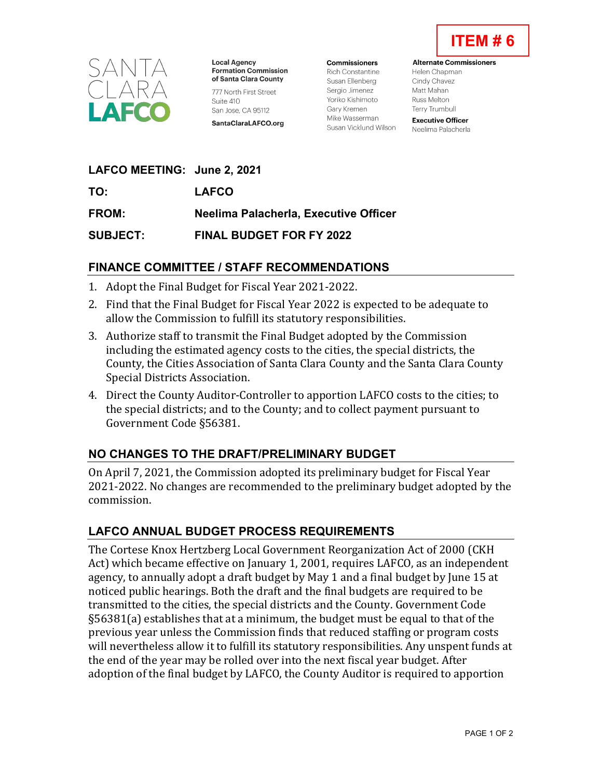



**Local Agency Formation Commission** of Santa Clara County 777 North First Street Suite 410 San Jose, CA 95112 SantaClaraLAFCO.org

**Commissioners** Rich Constantine Susan Fllenberg Sergio Jimenez Yoriko Kishimoto Garv Kremen Mike Wasserman Susan Vicklund Wilson

**Alternate Commissioners** Helen Chapman Cindy Chavez Matt Mahan **Russ Melton** 

**Executive Officer** Neelima Palacherla

**Terry Trumbull** 

| LAFCO MEETING: June 2, 2021 |  |
|-----------------------------|--|
|-----------------------------|--|

**TO: LAFCO**

**FROM: Neelima Palacherla, Executive Officer**

**SUBJECT: FINAL BUDGET FOR FY 2022** 

### **FINANCE COMMITTEE / STAFF RECOMMENDATIONS**

- 1. Adopt the Final Budget for Fiscal Year 2021-2022.
- 2. Find that the Final Budget for Fiscal Year 2022 is expected to be adequate to allow the Commission to fulfill its statutory responsibilities.
- 3. Authorize staff to transmit the Final Budget adopted by the Commission including the estimated agency costs to the cities, the special districts, the County, the Cities Association of Santa Clara County and the Santa Clara County Special Districts Association.
- 4. Direct the County Auditor-Controller to apportion LAFCO costs to the cities; to the special districts; and to the County; and to collect payment pursuant to Government Code §56381.

## **NO CHANGES TO THE DRAFT/PRELIMINARY BUDGET**

On April 7, 2021, the Commission adopted its preliminary budget for Fiscal Year 2021-2022. No changes are recommended to the preliminary budget adopted by the commission.

## **LAFCO ANNUAL BUDGET PROCESS REQUIREMENTS**

The Cortese Knox Hertzberg Local Government Reorganization Act of 2000 (CKH Act) which became effective on January 1, 2001, requires LAFCO, as an independent agency, to annually adopt a draft budget by May 1 and a final budget by June 15 at noticed public hearings. Both the draft and the final budgets are required to be transmitted to the cities, the special districts and the County. Government Code §56381(a) establishes that at a minimum, the budget must be equal to that of the previous year unless the Commission finds that reduced staffing or program costs will nevertheless allow it to fulfill its statutory responsibilities. Any unspent funds at the end of the year may be rolled over into the next fiscal year budget. After adoption of the final budget by LAFCO, the County Auditor is required to apportion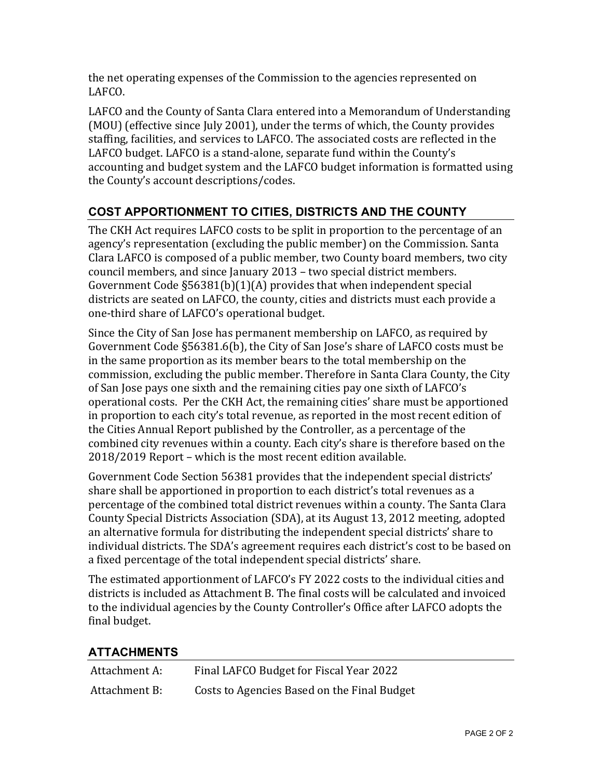the net operating expenses of the Commission to the agencies represented on LAFCO.

LAFCO and the County of Santa Clara entered into a Memorandum of Understanding (MOU) (effective since July 2001), under the terms of which, the County provides staffing, facilities, and services to LAFCO. The associated costs are reflected in the LAFCO budget. LAFCO is a stand-alone, separate fund within the County's accounting and budget system and the LAFCO budget information is formatted using the County's account descriptions/codes.

## **COST APPORTIONMENT TO CITIES, DISTRICTS AND THE COUNTY**

The CKH Act requires LAFCO costs to be split in proportion to the percentage of an agency's representation (excluding the public member) on the Commission. Santa Clara LAFCO is composed of a public member, two County board members, two city council members, and since January 2013 – two special district members. Government Code §56381(b)(1)(A) provides that when independent special districts are seated on LAFCO, the county, cities and districts must each provide a one-third share of LAFCO's operational budget.

Since the City of San Jose has permanent membership on LAFCO, as required by Government Code §56381.6(b), the City of San Jose's share of LAFCO costs must be in the same proportion as its member bears to the total membership on the commission, excluding the public member. Therefore in Santa Clara County, the City of San Jose pays one sixth and the remaining cities pay one sixth of LAFCO's operational costs. Per the CKH Act, the remaining cities' share must be apportioned in proportion to each city's total revenue, as reported in the most recent edition of the Cities Annual Report published by the Controller, as a percentage of the combined city revenues within a county. Each city's share is therefore based on the 2018/2019 Report – which is the most recent edition available.

Government Code Section 56381 provides that the independent special districts' share shall be apportioned in proportion to each district's total revenues as a percentage of the combined total district revenues within a county. The Santa Clara County Special Districts Association (SDA), at its August 13, 2012 meeting, adopted an alternative formula for distributing the independent special districts' share to individual districts. The SDA's agreement requires each district's cost to be based on a fixed percentage of the total independent special districts' share.

The estimated apportionment of LAFCO's FY 2022 costs to the individual cities and districts is included as Attachment B. The final costs will be calculated and invoiced to the individual agencies by the County Controller's Office after LAFCO adopts the final budget.

### **ATTACHMENTS**

| Attachment A: | Final LAFCO Budget for Fiscal Year 2022     |
|---------------|---------------------------------------------|
| Attachment B: | Costs to Agencies Based on the Final Budget |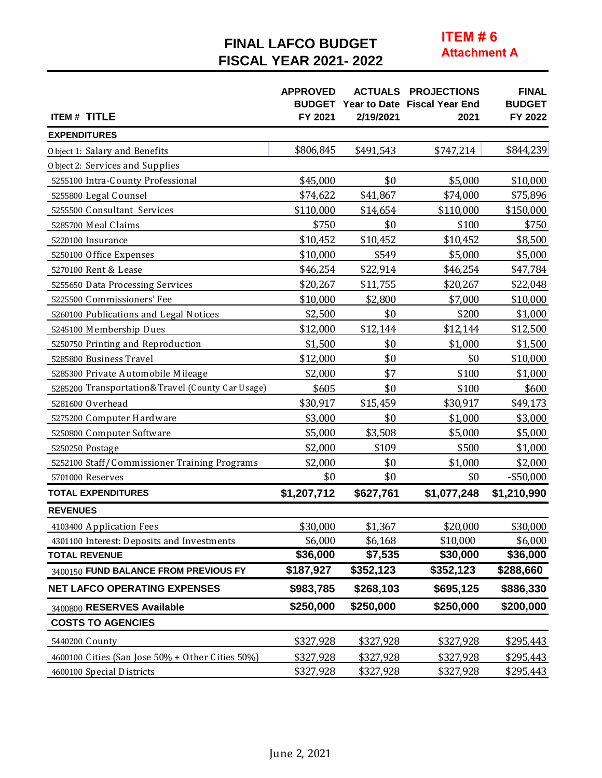## **FINAL LAFCO BUDGET FISCAL YEAR 2021-2022**

**ITEM#6 Attachment A** 

| <b>ITEM# TITLE</b>                                | <b>APPROVED</b><br>FY 2021 | 2/19/2021 | <b>ACTUALS PROJECTIONS</b><br><b>BUDGET</b> Year to Date Fiscal Year End<br>2021 | <b>FINAL</b><br><b>BUDGET</b><br>FY 2022 |
|---------------------------------------------------|----------------------------|-----------|----------------------------------------------------------------------------------|------------------------------------------|
| <b>EXPENDITURES</b>                               |                            |           |                                                                                  |                                          |
| Object 1: Salary and Benefits                     | \$806,845                  | \$491,543 | \$747,214                                                                        | \$844,239                                |
| Object 2: Services and Supplies                   |                            |           |                                                                                  |                                          |
| 5255100 Intra-County Professional                 | \$45,000                   | \$0       | \$5,000                                                                          | \$10,000                                 |
| 5255800 Legal Counsel                             | \$74,622                   | \$41,867  | \$74,000                                                                         | \$75,896                                 |
| 5255500 Consultant Services                       | \$110,000                  | \$14,654  | \$110,000                                                                        | \$150,000                                |
| 5285700 Meal Claims                               | \$750                      | \$0       | \$100                                                                            | \$750                                    |
| 5220100 Insurance                                 | \$10,452                   | \$10,452  | \$10,452                                                                         | \$8,500                                  |
| 5250100 Office Expenses                           | \$10,000                   | \$549     | \$5,000                                                                          | \$5,000                                  |
| 5270100 Rent & Lease                              | \$46,254                   | \$22,914  | \$46,254                                                                         | \$47,784                                 |
| 5255650 Data Processing Services                  | \$20,267                   | \$11,755  | \$20,267                                                                         | \$22,048                                 |
| 5225500 Commissioners' Fee                        | \$10,000                   | \$2,800   | \$7,000                                                                          | \$10,000                                 |
| 5260100 Publications and Legal Notices            | \$2,500                    | \$0       | \$200                                                                            | \$1,000                                  |
| 5245100 Membership Dues                           | \$12,000                   | \$12,144  | \$12,144                                                                         | \$12,500                                 |
| 5250750 Printing and Reproduction                 | \$1,500                    | \$0       | \$1,000                                                                          | \$1,500                                  |
| 5285800 Business Travel                           | \$12,000                   | \$0       | \$0                                                                              | \$10,000                                 |
| 5285300 Private Automobile Mileage                | \$2,000                    | \$7       | \$100                                                                            | \$1,000                                  |
| 5285200 Transportation& Travel (County Car Usage) | \$605                      | \$0       | \$100                                                                            | \$600                                    |
| 5281600 O verhead                                 | \$30,917                   | \$15,459  | \$30,917                                                                         | \$49,173                                 |
| 5275200 Computer Hardware                         | \$3,000                    | \$0       | \$1,000                                                                          | \$3,000                                  |
| 5250800 Computer Software                         | \$5,000                    | \$3,508   | \$5,000                                                                          | \$5,000                                  |
| 5250250 Postage                                   | \$2,000                    | \$109     | \$500                                                                            | \$1,000                                  |
| 5252100 Staff/Commissioner Training Programs      | \$2,000                    | \$0       | \$1,000                                                                          | \$2,000                                  |
| 5701000 Reserves                                  | \$0                        | \$0       | \$0                                                                              | $-$ \$50,000                             |
| <b>TOTAL EXPENDITURES</b>                         | \$1,207,712                | \$627,761 | \$1,077,248                                                                      | \$1,210,990                              |
| <b>REVENUES</b>                                   |                            |           |                                                                                  |                                          |
| 4103400 Application Fees                          | \$30,000                   | \$1,367   | \$20,000                                                                         | \$30,000                                 |
| 4301100 Interest: Deposits and Investments        | \$6,000                    | \$6,168   | \$10,000                                                                         | \$6,000                                  |
| <b>TOTAL REVENUE</b>                              | \$36,000                   | \$7,535   | \$30,000                                                                         | \$36,000                                 |
| 3400150 FUND BALANCE FROM PREVIOUS FY             | \$187,927                  | \$352,123 | \$352,123                                                                        | \$288,660                                |
| <b>NET LAFCO OPERATING EXPENSES</b>               | \$983,785                  | \$268,103 | \$695,125                                                                        | \$886,330                                |
| 3400800 RESERVES Available                        | \$250,000                  | \$250,000 | \$250,000                                                                        | \$200,000                                |
| <b>COSTS TO AGENCIES</b>                          |                            |           |                                                                                  |                                          |
| 5440200 County                                    | \$327,928                  | \$327,928 | \$327,928                                                                        | \$295,443                                |
| 4600100 Cities (San Jose 50% + 0 ther Cities 50%) | <u>\$327,928</u>           | \$327,928 | \$327,928                                                                        | \$295,443                                |
| 4600100 Special Districts                         | \$327,928                  | \$327,928 | \$327,928                                                                        | \$295,443                                |